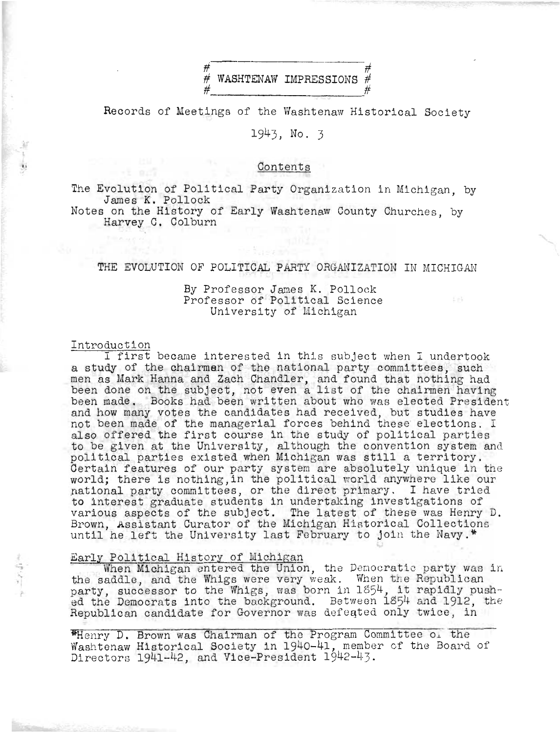

Records of Meetings of the Washtenaw Historical Society

# 1943. No. 3

# Contents

The Evolution of Political Party Organization in Michigan, by James K. Pollock

Notes on the History of Early Washtenaw County Churches, by Harvey C. Colburn

# THE EVOLUTION OF POLITICAL PARTY ORGANIZATION IN MICHIGAN

## By Professor James K. Pollock Professor of Political Science University of Michigan

### Introduction

I first became interested in this subject when I undertook a study of the chairmen of the national party committees, such men as Mark Hanna and Zach Chandler, and found that nothing had<br>been done on the subject, not even a list of the chairmen having<br>been made. Books had been written about who was elected President and how many votes the candidates had received, but studies have not been made of the managerial forces behind these elections. I also offered the first course in the study of political parties to be given at the University, although the convention system and political parties existed when Michigan was still a territory. Certain features of our party system are absolutely unique in the world; there is nothing, in the political world anywhere like our national party committees, or the direct primary. I have tried to interest graduate students in undertaking investigations of various aspects of the subject. The latest of these was Henry D.<br>Brown, Assistant Curator of the Michigan Historical Collections until he left the University last February to join the Navy.\*

## Early Political History of Michigan

When Michigan entered the Union, the Democratic party was in the saddle, and the Whigs were very weak. When the Republican<br>party, successor to the Whigs, was born in 1854, it rapidly pushed the Democrats into the background. Between 1854 and 1912, the Republican candidate for Governor was defeated only twice, in

"Henry D. Brown was Chairman of the Program Committee of the Washtenaw Historical Society in 1940-41, member of the Board of Directors 1941-42, and Vice-President 1942-43.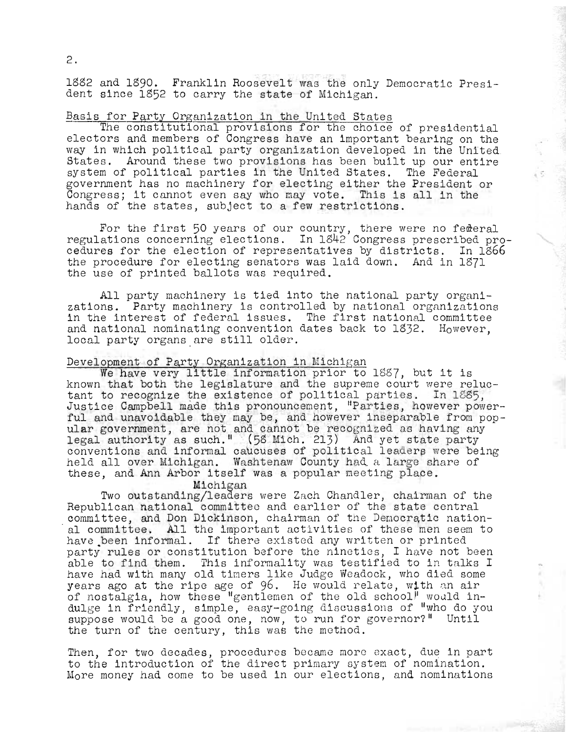1882 and 1890. Franklin Roosevelt was the only Democratic President since 1852 to carry the state of Michigan.

# Basis for Party Organization in the United States

The constitutional provisions for the choice of presidential electors and members of Congress have an important bearing on the way in which political party organization developed in the United States. Around these two provisions has been built up our entire system of political parties in the United States. The Federal government has no machinery for electing either the President or Congress; it cannot even say who may vote. This is all in the hands of the states, subject to a few restrictions.

For the first 50 years of our country, there were no federal regulations concerning elections. In 1842 Congress prescribed procedures for the election of representatives by districts. In 1866 the procedure for electing senators was laid down. And in 1871 the use of printed ballots was required.

All party machinery is tied into the national party organizations. Party machinery is controlled by national organizations in the interest of federal issues. The first national committee and national nominating convention dates back to 1832. However, local party organs are still older.

# Development of Party Organization in Michigan

We have very little information prior to 1887, but it is known that both the legislature and the supreme court were reluctant to recognize the existence of political parties. In 1885, Justice Campbell made this pronouncement, "Parties, however powerful and unavoidable they may be, and however inseparable from popular government, are not and cannot be recognized as having any legal authority as such." (58 Mich. 213) And yet state party conventions and informal caucuses of political leaders were being held all over Michigan. Washtenaw County had a large share of these, and Ann Arbor itself was a popular meeting place.

Michigan

Two outstanding/leaders were Zach Chandler, chairman of the Republican national committee and earlier of the state central committee, and Don Dickinson, chairman of the Democratic national committee. All the important activities of these men seem to have been informal. If there existed any written or printed party rules or constitution before the nineties, I have not been able to find them. This informality was testified to in talks I have had with many old timers like Judge Weadock, who died some years ago at the ripe age of 96. He would relate, with an air of nostalgia, how these "gentlemen of the old school" would indulge in friendly, simple, easy-going discussions of "who do you suppose would be a good one, now, to run for governor?" Until

Ŝ

Then, for two decades, procedures became more exact, due in part<br>to the introduction of the direct primary system of nomination. More money had come to be used in our elections, and nominations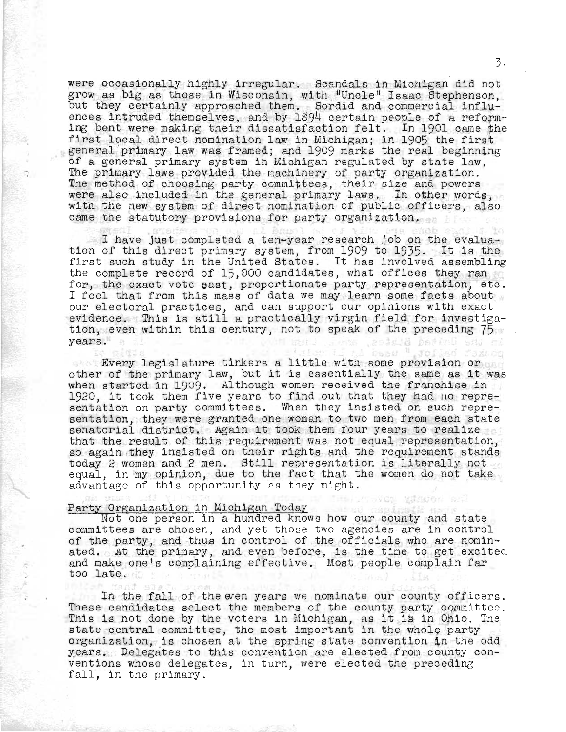were occasionally highly irregular. Scandals in Michigan did not grow as big as those in Wisconsin, with "Uncle" Isaac Stephenson, but they certainly approached them. Sordid and commercial influences intruded themselves, and by 1894 certain people of a reforming bent were making their dissatisfaction felt. In 1901 came the first local direct nomination law in Michigan; in 1905 the first general primary law was framed; and 1909 marks the real beginning of a general primary system in Michigan regulated by state law, The primary laws proVided the machinery of party organization. The method of choosing party committees, their size and powers were also included in the general primary laws. In other words, with the new system of direct nomination of public officers, also came the statutory provisions for party organization.

I have just completed a ten-year research job on the evaluation of this direct primary system, from 1909 to 1935. It is the first such study in the United States. It has involved assembling the complete record of 15,000 candidates, what offices they ran for, the exact vote oast, proportionate party representation, etc. I feel that from this mass of data we may learn some facts about our electoral practices, and can support our opinions with exact evidence. This is still a practically virgin field for investigation, even within this century, not to speak of the preceding 75 years. .aolsia bering eng

Every legislature tinkers a little with some provision or other of the primary law, but it is essentially the same as it was when started in 1909. Although women received the franchise in 1920, it took them five years to find out that they had no representation on party committees. When they insisted on such representation, they were granted one woman to two men from each state senatorial district. Again it took them four years to realize that the result of this requirement was not equal representation, so again they insisted on their rights and the requirement stands today 2 women and 2 men. Still representation is literally not equal, in my opinion, due to the fact that the women do not take advantage of this opportunity as they might.

### Party Organization in Michigan Today

<u>Organization in Michigan Today</u><br>Not one person in a hundred knows how our county and state committees are chosen, and yet those two agencies are in control of the party, and thus in control of the officials who are nominated. At the primary, and even before, is the time to get excited ated. At the primary, and even before, is the time to get exclude<br>and make one's complaining effective. Most people complain far and make one's complaining effective<br>too late.

L'ISVON MISUON SER

In the fall of the even years we nominate our county officers. These candidates select the members of the county party committee. Inese candidates select the members of the county party committee.<br>This is not done by the voters in Michigan, as it is in Ohio. The ints is not done by the voters in michigan, as it is in only. I<br>state central committee, the most important in the whole party organization, is chosen at the spring state convention in the odd years. Delegates to this convention are elected from county conventions whose delegates, in turn, were elected the preceding fall, in the primary.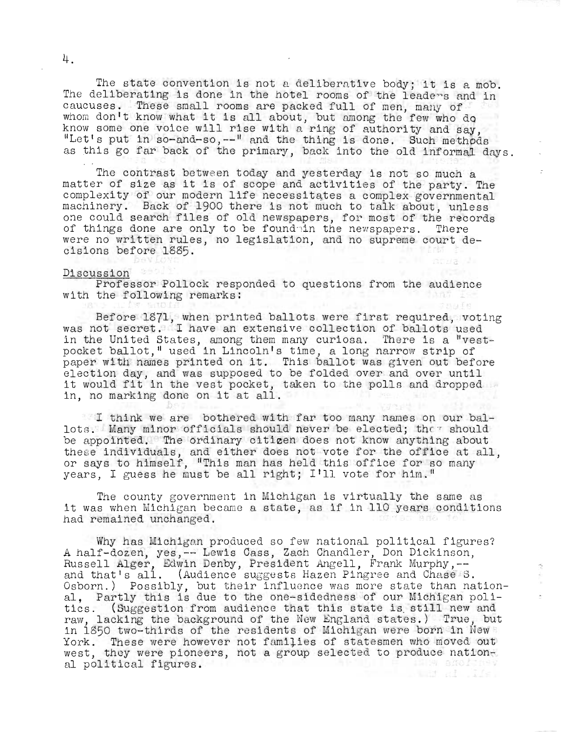The state convention is not a deliberative body; it is a mob. The deliberating is done in the hotel rooms of the leaders and in caucuses. These small rooms are packed full of men, many of whom don't know what it is all about, but among the few who do know some one voice will rise with a ring of authority and say. know some one voice will rise with a ring of authority and say,<br>"Let's put in so-and-so,--" and the thing is done. Such methods as this go far back of the primary, back into the old informal days.

The contrast between today and yesterday is not so much a matter of size as it is of scope and activities of the party. The complexity of our modern life necessitates a complex governmental machinery. Back of 1900 there is not much to talk about, unless one could search files of old newspapers, for most of the records of things done are only to be foundain the newspapers. There were no written rules, no legislation, and no supreme court decisions before 1885.

#### Discussion

Professor Pollock responded to questions from the audience<br>the following remarks: with the following remarks:

Before 1871, when printed ballots were first required, voting was not secret. I have an extensive collection of ballots used in the United States, among them many curiosa. There is a "vestpocket ballot," used in Lincoln's time, a long narrow strip of paper with names printed on it. This ballot was given out before election. day, and was supposed to be folded over and over until it would fit in the vest pocket, taken to the polls and dropped in, no marking done on it at all.

I think we are bothered with far too many names op. our ballots. Many minor officials should never be elected; they should be appointed. The ordinary citizen does not know anything about these individuals, and either does not vote for the office at all. or says to himself, "This man has held this office for so many years, I guess he must be all right; I'll vote for him."

The county government in Michigan is virtually the same as it was when Michigan became a state, as if in 110 years conditions had remained unchanged.

Why has Michigan produced so few national political figures? a mig has michigan produced so rew hatronar porfiticar rigunal portors. A harr-dozen, yes, " hewis bass, bach chandrer, bon breathson and that's all. (Audience suggests Hazen Pingree and Chase S. Osborn.) Possibly, but their influence was more state than national; Partly this is due to the one-sidedness of our Michigan politics. (Suggestion from audience that this state is still new and raw, lacking the background of the New England states.) True, but in 1850 two-thirds of the residents of Michigan were born in New York. These were however not families of statesmen who moved out west, they were pioneers, not a group selected to produce national political figures. 

4.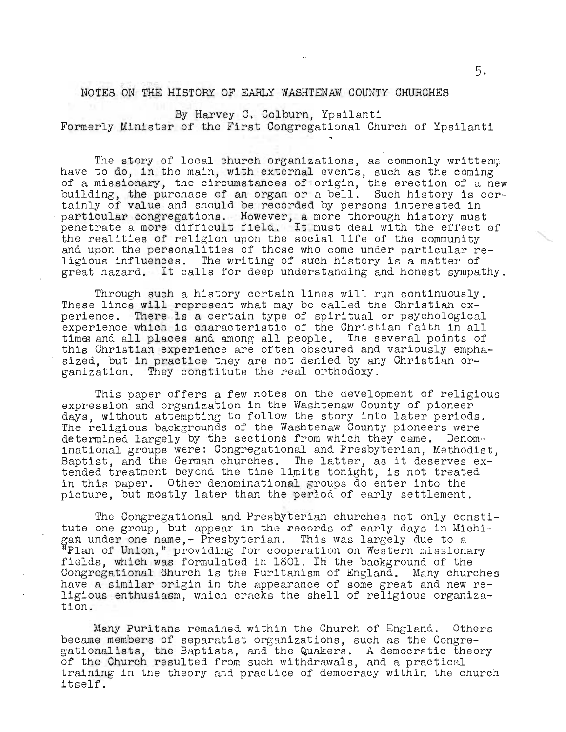### NOTES ON THE HISTORY OF EARLY WASHTENAW COUNTY CHURCHES

By Harvey C. Colburn, Ypsilanti Formerly Minister of the First Congregational Church of Ypsilanti

The story of local church organizations, as commonly written; have to do, in the main, with external events, such as the coming of a missionary, the circumstances of origin, the erection of a new building, the purchase of an organ or a bell. Such history is cerbuilding, one parenase of an organ or a seri. Sach history is extainly of value and should be recorded by persons interested in particular congregations. However, a more thorough history must particular congregations. However, a more thorough history must penetrate a more difficult field. It must deal with the effect of the realities of religion upon the social life of the community and upon the personalities of those who come under particular religious influences. The writing of such history is a matter of great hazard. It calls for deep understanding and honest sympathy.

Through such a history certain lines will run continuously. These lines will represent what may be called the Christian experience. There 1s a certain type of spiritual or psychological experience which is characteristic of the Christian faith in all times and all places and among all people. The several points of this Christian experience are often obscured and variously emphasized, but in practice they are not denied by any Christian organization. They constitute the real orthodoxy.

This paper offers a few notes on the development of religious expression and organization in the Washtenaw County of pioneer days, without attempting to follow the story into later periods. The religious backgrounds of the Washtenaw County pioneers were determined largely by the sections from which they came. Denominational groups were: Congregational and Presbyterian, Methodist, Baptist, and the German churches. The latter, as it deserves extended treatment beyond the time limits tonight, is not treated in this paper. Other denominational groups do enter into the picture, but mostly later than the period of early settlement.

The Congregational and Presbyterian churches not only constitute one group, but appear in the records of early days in Michitate one group, but appear in the records of early days in mid-<br>gan under one name,- Presbyterian. This was largely due to a an anasi one hame, II ess, seitan: IIII was larger, and sea fields, which was formulated in 1801. In the background of the Congregational Ghurch is the Puritanism of England. Many churches have a similar origin in the appearance of some great and new religious enthusiasm, which cracks the shell of religious organization.

Many Puritans remained within the Church of England. Others became members of separatist organizations, such as the Congregationalists, the Baptists, and the Quakers. A democratic theory of the Church resulted from such withdrawals, and a practical training in the theory and practice of democracy within the church itself.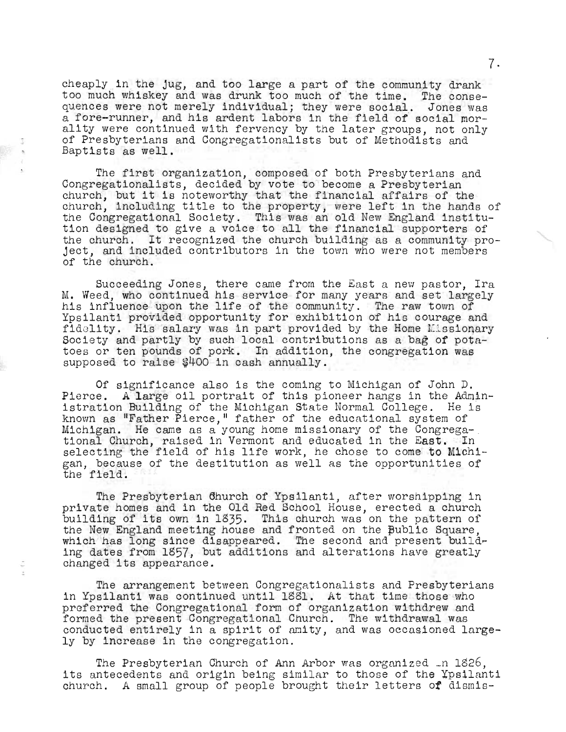cheaply in the jug, and too large a part of the community drank too much whiskey and was drunk too much of the time. The consequences were not merely individual; they were social. Jones was a fore-runner, and his ardent labors in the field of social morality were continued with fervency by the later groups, not only of Presbyterians and Congregationalists but of Methodists and Baptists as well.

The first organization, composed of both Presbyterians and Congregationalists, decided by vote to become a Presbyterian church, but it is noteworthy that the financial affairs of the church, including title to the property, were left in the hands of the Congregational Society. This was an old New England institution designed to give a voice to all the financial supporters of the church. It recognized the church building as a community project, and included contributors in the town who were not members of the church.

Succeeding Jones, there came from the East a new pastor, Ira M. Weed, who continued his service for many years and set largely m. weed, who continued his service for many years and set large<br>his influence upon the life of the community. The raw town of International metallic of the community. The raw cown of the results of the results of the courage and fidelity. His salary was in part provided by the Home Missionary Society and partly by such local contributions as a bag of potatoes or ten pounds of pork. In addition, the congregation was supposed to raise \$400 in cash annually.

Of significance also is the coming to Michigan of John D. Pierce. A large oil portrait of this pioneer hangs in the Administration Building of the Michigan state Normal College. He is known as "Father Pierce," father of the educational system of michigan. He came as a young home missionary of the Congrega-<br>tional Church, raised in Vermont and educated in the East. In tional Church, raised in Vermont and educated in the East. In selecting the field of his life work, he chose to come to Michigan, because of the destitution as well as the opportunities of san, becaal

The Presbyterian 6hurch of Ypsilanti, after worshipping in private homes and in the Old Red School House, erected a church building of its own in 1835. This church was on the pattern of the New England meeting house and fronted on the Bublic Square, which has long since disappeared. The second and present building dates from 1857, but additions and alterations have greatly changed its appearance.

The arrangement between Congregationalists and Presbyterians in Ypsilanti was continued until 1881. At that time those who preferred the Congregational form of organization withdrew and formed the present Congregational Church. The withdrawal was conducted entirely in a spirit of amity, and was occasioned largely by increase in the congregation.

The Presbyterian Church of Ann Arbor was organized  $\ln 1826$ , its antecedents and origin being similar to those of the Ypsilanti church. A small group of people brought their letters *ot* dismis-

7·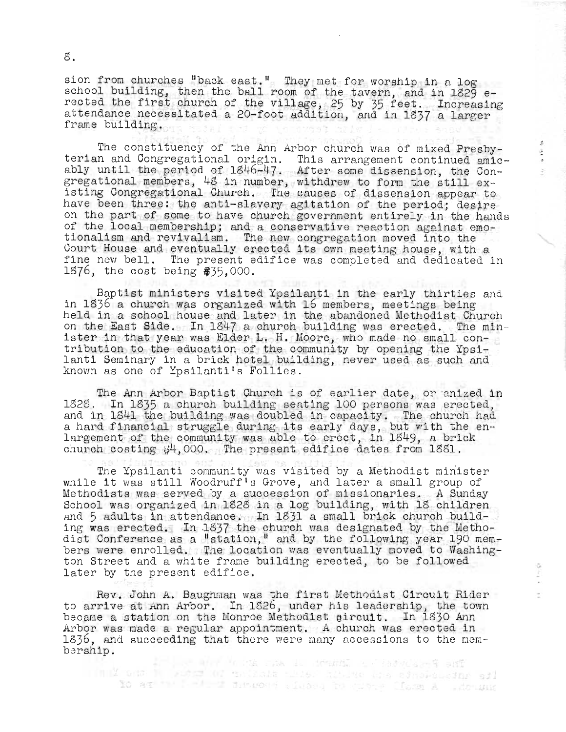sion from churches "back east." They met for worship in n log ston from charches back east. They med for worship in a log<br>school building, then the ball room of the tavern, and in 1829 erected the first church of the village, 25 by 35 feet. Increasing attendance necessitated a 20-foot addition, and in 1837 a larger frame building.

> $\mathcal G$  $\frac{1}{2}$

The constituency of the Ann Arbor church was of mixed Presbyterian and Congregational origin. This arrangement continued amicably until the period of 1846-47. After some dissension, the Congregational members, 48 in number, withdrew to form the still existing Congregational Church. The causes of dissension appear to have been three: the anti-slavery agitation of the period; desire on the part of some to have church government entirely in the hands of the local membership; and a conservative reaction against emotionalism and revivalism. The new congregation moved into the Court House and eventually erected its own meeting house, with a fine new bell. The present edifice was completed and dedicated in 1876, the cost being  $$35,000$ .

Baptist ministers visited Ypsilanti in the early thirties and in 1836 a church was organized with 16 members, meetings being held in a school house and later in the abandoned Methodist Church on the East Side. In 1847 a church building was erected. The min-<br>ister in that year was Elder L. H. Moore, who made no small contribution to the education of the community by opening the Ypsilanti Seminary in a brick hotel building, never used as such and known as one of Ypsilanti's Follies.

The Ann Arbor Baptist Church is of earlier date, or anized in 1828. In 1835 a church building seating 100 persons was erected, and in 1841 the building was doubled in capacity. The church had a hard financial struggle during its early days, but with the enlargement of the community was able to erect, in 1849, a brick church costing  $$4,000.$  The present edifice dates from 1881.

The Ypsilanti community was visited by a Methodist minister while it was still Woodruff<sup>1</sup>s Grove, and later a small group of Methodists was served by a succession of missionaries. A Sunday School was organized in 1828 in a log building, with 18 children and 5 adults in attendance. In 1831 a small brick church building was erected. In 1837 the church was designated by the Methodist Conference as a "station," and by the following year 190 members were enrolled. The location was eventually moved to Washing-<br>ton Street and a white frame building erected, to be followed later by the present edifice.

Rev. John A. Baughman was the first Methodist Circuit Rider to arrive at Ann Arbor. In 1826, under his leadership, the town became a station on the Monroe Methodist gircuit. In 1830 Ann Arbor was made a regular appointment. A church was erected in 1836, and succeeding that there were many accessions to the mem-<br>bership.

llet – Intellet afrika van 1. desumi 1. sabydaarf ant<br>Timul and 1. saber 07 taliale tiide hija daa sindsusame afl to at the field dimense since is the local A side was